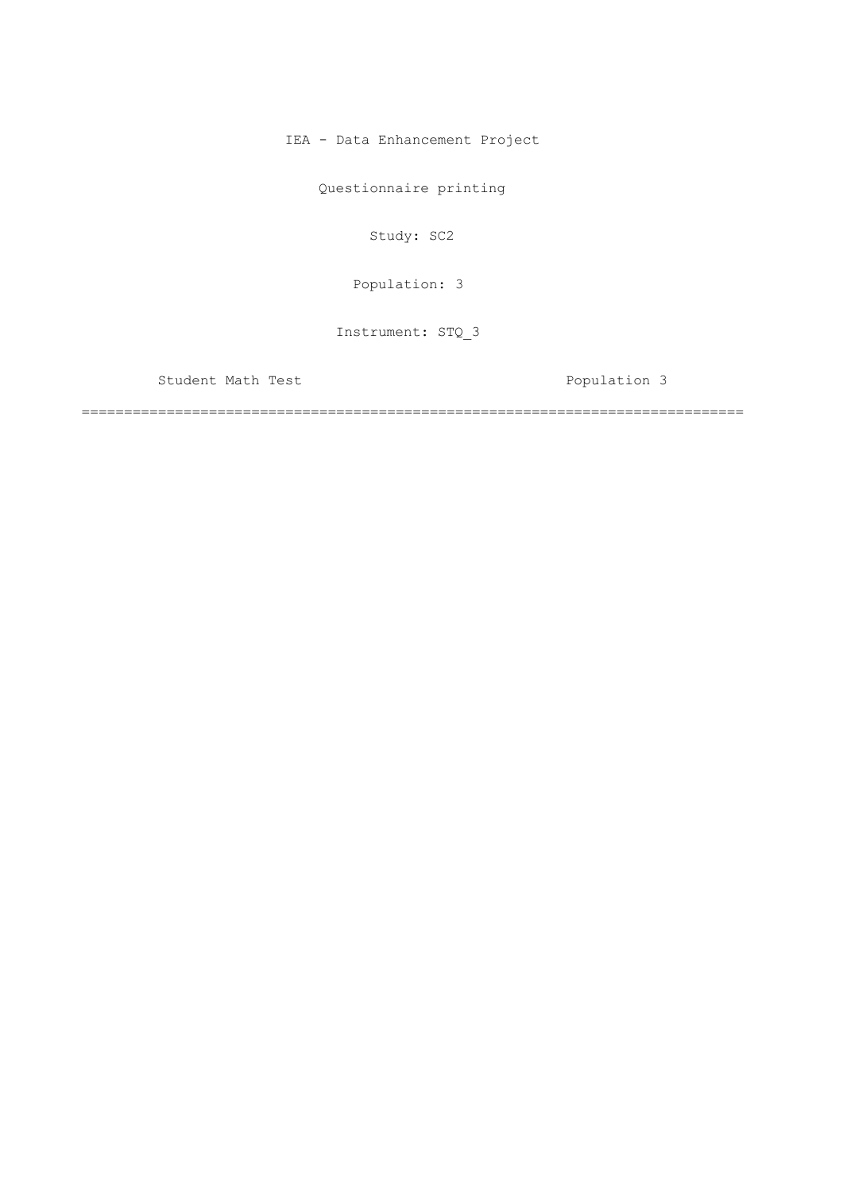IEA - Data Enhancement Project

Questionnaire printing

Study: SC2

[Population: 3](#page-2-0) 

Instrument: STQ\_3

Student Math Test **Population 3** 

==============================================================================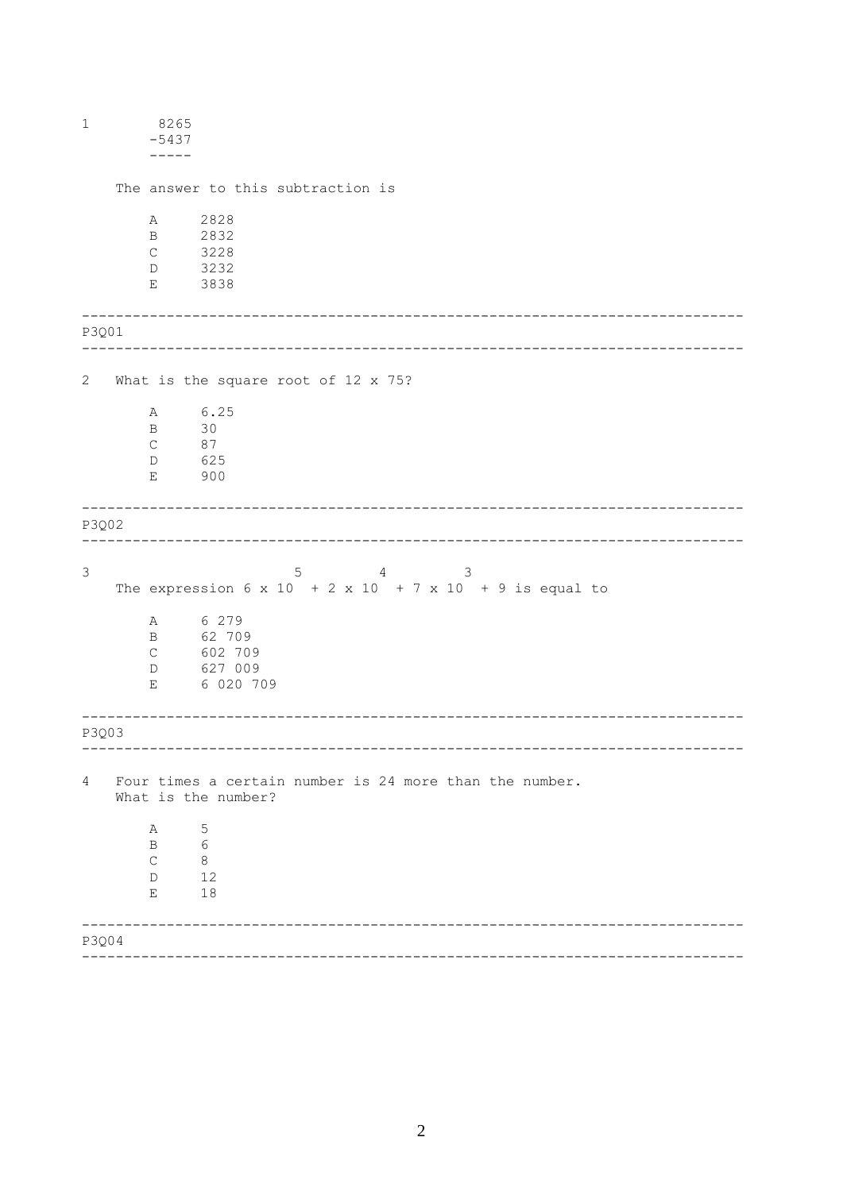| $\mathbf{1}$   | 8265<br>$-5437$                                           |                                                                                |  |
|----------------|-----------------------------------------------------------|--------------------------------------------------------------------------------|--|
|                |                                                           | The answer to this subtraction is                                              |  |
|                | Α<br>$\mathbf{B}$<br>$\mathsf{C}$<br>3232<br>D            | 2828<br>2832<br>3228                                                           |  |
|                | 3838<br>Е                                                 |                                                                                |  |
| P3Q01          |                                                           |                                                                                |  |
| $\mathbf{2}$   |                                                           | What is the square root of 12 x 75?                                            |  |
|                | Α<br>30<br>B<br>87<br>$\mathsf C$<br>625<br>D<br>900<br>Е | 6.25                                                                           |  |
| P3Q02          |                                                           |                                                                                |  |
| $\mathfrak{Z}$ |                                                           | 5<br>4 3<br>The expression 6 x 10 + 2 x 10 + 7 x 10 + 9 is equal to            |  |
|                | $\mathbb A$<br>$\mathbf{B}$<br>$\mathsf C$<br>D<br>Ε      | 6 279<br>62 709<br>602 709<br>627 009<br>6 020 709                             |  |
| P3Q03          |                                                           | ---------------------------------                                              |  |
| 4              |                                                           | Four times a certain number is 24 more than the number.<br>What is the number? |  |
|                | А<br>B<br>$\mathsf{C}$<br>D<br>Е                          | 5<br>6<br>8<br>12<br>18                                                        |  |
| P3Q04          |                                                           |                                                                                |  |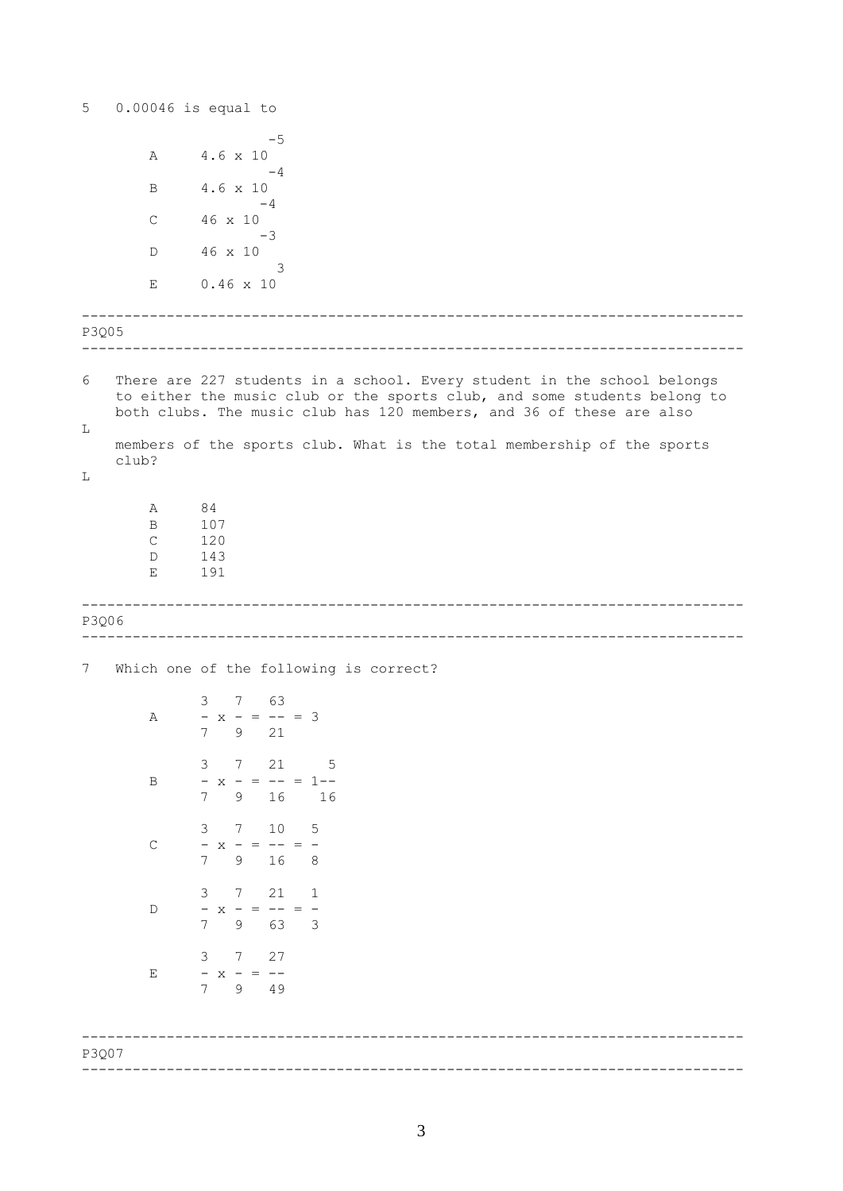<span id="page-2-0"></span>5  $0.00046$  is equal to  $-5$  $4.6 \times 10$  $\overline{A}$  $-4$  $4.6 \times 10$  $\overline{B}$  $-4$  $\mathsf C$ 46 x 10  $-3$ 46 x 10  $\mathbb D$  $\overline{\mathbf{3}}$  $0.46 \times 10$  $\mathbf{E}$ P3Q05  $6\,$ There are 227 students in a school. Every student in the school belongs to either the music club or the sports club, and some students belong to both clubs. The music club has 120 members, and 36 of these are also  $\mathbf L$ members of the sports club. What is the total membership of the sports club?  $T_{\rm L}$  $A$ 84  $\mathbf{B}$ 107  $\mathcal{C}$ 120 143  $D$  $E$ 191 P3006 7 Which one of the following is correct? 3 7 63  $- x - = - - = 3$  $A$  $\overline{7}$ 9 21  $3 \qquad 7 \qquad 21 \qquad \qquad 5$  $- x - = - - = 1 - \mathbf{B}$  $7\overline{ }$  $9$ 16 16 3 7 10 5  $\mathbb{C}$  $- x - = - - = \overline{7}$ 9 16 8  $3 \t 7 \t 21 \t 1$  $D$  $- x - = - - = \overline{7}$  $9$  63 3  $3 \qquad 7 \qquad 27$  $- x - = \mathbf E$ 7 9 49 P3007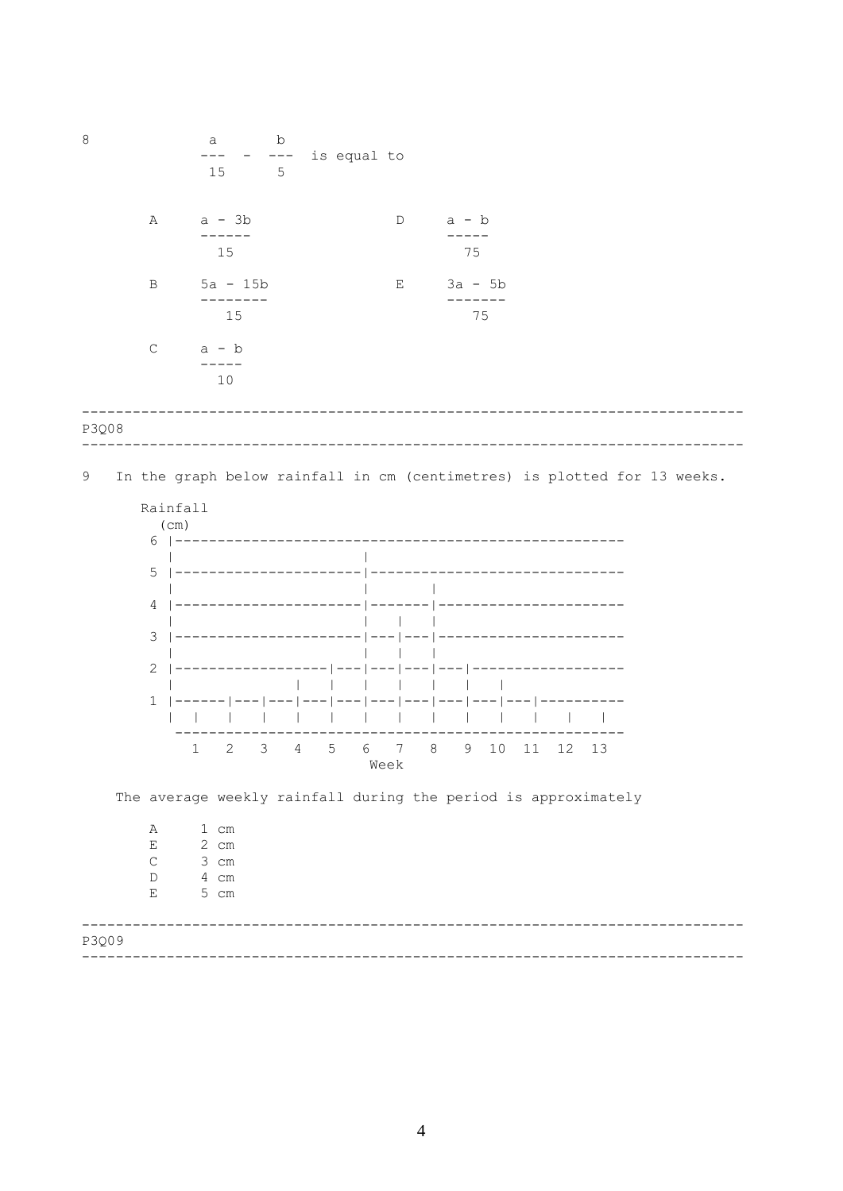

 $\overline{4}$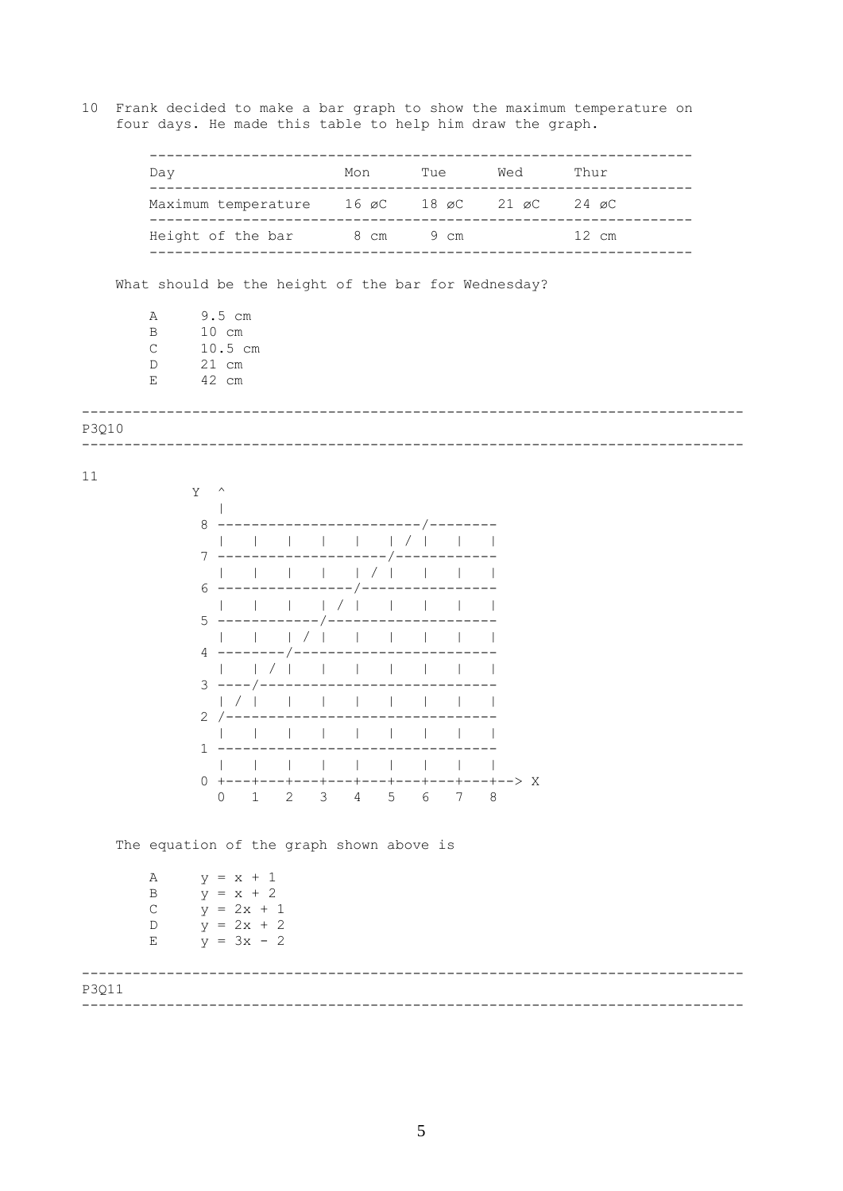<span id="page-4-0"></span>10 Frank decided to make a bar graph to show the maximum temperature on four days. He made this table to help him draw the graph.

|       | Day                                                 |                                                                                         |                                         |                                         |                            |   | Mon |                 |                 |   | Tue Wed                | Thur             |
|-------|-----------------------------------------------------|-----------------------------------------------------------------------------------------|-----------------------------------------|-----------------------------------------|----------------------------|---|-----|-----------------|-----------------|---|------------------------|------------------|
|       |                                                     | ---------<br>Maximum temperature 16 øC 18 øC 21 øC 24 øC<br>Height of the bar 8 cm 9 cm |                                         |                                         |                            |   |     |                 |                 |   |                        |                  |
|       |                                                     |                                                                                         |                                         |                                         |                            |   |     |                 |                 |   |                        | -------<br>12 cm |
|       |                                                     |                                                                                         |                                         |                                         |                            |   |     |                 | ---------       |   |                        | -------------    |
|       | What should be the height of the bar for Wednesday? |                                                                                         |                                         |                                         |                            |   |     |                 |                 |   |                        |                  |
|       | Α<br>$\, {\bf B}$<br>$\mathsf C$<br>$\mathbb D$     |                                                                                         | $9.5$ cm<br>10 cm<br>10.5 cm<br>$21$ cm |                                         |                            |   |     |                 |                 |   |                        |                  |
|       | Ε                                                   | 42 cm                                                                                   |                                         |                                         |                            |   |     |                 |                 |   |                        |                  |
| P3Q10 |                                                     |                                                                                         |                                         |                                         | -------------------------- |   |     |                 |                 |   |                        |                  |
|       |                                                     |                                                                                         |                                         |                                         |                            |   |     |                 |                 |   |                        |                  |
| 11    |                                                     | Y -                                                                                     | $\land$                                 |                                         |                            |   |     |                 |                 |   |                        |                  |
|       |                                                     | 8                                                                                       |                                         |                                         |                            |   |     |                 | _______/_______ |   |                        |                  |
|       |                                                     | 7                                                                                       |                                         |                                         |                            |   |     |                 |                 |   |                        |                  |
|       |                                                     | 6                                                                                       |                                         |                                         |                            |   |     |                 |                 |   |                        |                  |
|       |                                                     | 5                                                                                       |                                         | ---------                               |                            |   |     |                 |                 |   |                        |                  |
|       |                                                     |                                                                                         |                                         | $4$ --------                            |                            |   |     |                 |                 |   |                        |                  |
|       |                                                     |                                                                                         |                                         | $\left  \quad \right $<br>$3$ ----/---- |                            |   |     |                 |                 |   |                        |                  |
|       |                                                     |                                                                                         | $2 / -$                                 |                                         |                            |   |     |                 |                 |   |                        |                  |
|       |                                                     | $\mathbf{1}$                                                                            |                                         |                                         |                            |   |     |                 |                 |   |                        |                  |
|       |                                                     |                                                                                         |                                         |                                         |                            |   |     |                 |                 |   |                        |                  |
|       |                                                     | 0                                                                                       | $\Omega$                                | 1                                       | $-+--$<br>2                | 3 | 4   | $5\overline{)}$ | 6               | 7 | ---+---+---+--> X<br>8 |                  |

The equation of the graph shown above is

| Α |  | $y = x + 1$  |  |
|---|--|--------------|--|
| B |  | $y = x + 2$  |  |
| C |  | $y = 2x + 1$ |  |
| D |  | $y = 2x + 2$ |  |
| E |  | $y = 3x - 2$ |  |

| P3Q11 |  |
|-------|--|
|       |  |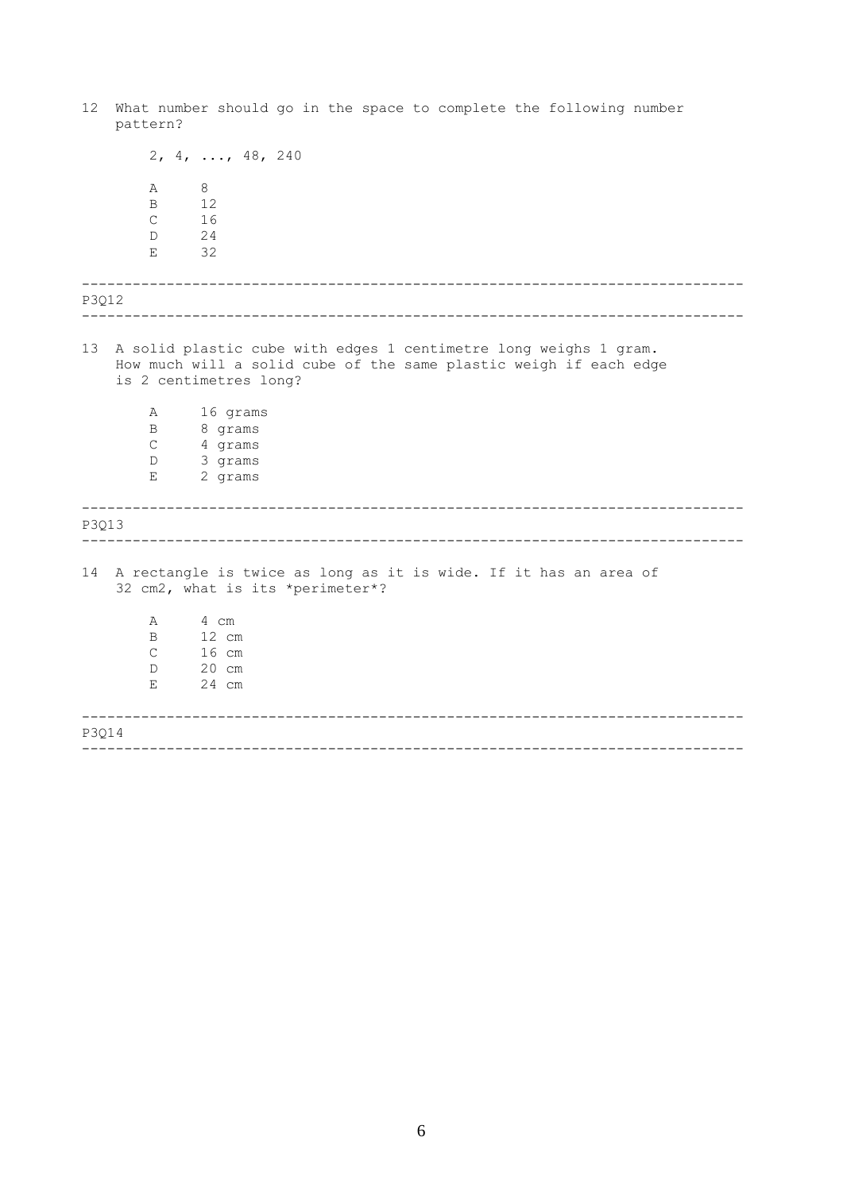<span id="page-5-0"></span>------------------------------------------------------------------------------ ------------------------------------------------------------------------------ ------------------------------------------------------------------------------ ------------------------------------------------------------------------------ ------------------------------------------------------------------------------ ------------------------------------------------------------------------------ 12 What number should go in the space to complete the following number pattern? 2, 4, ..., 48, 240 A 8 B 12<br>C 16 C 16 D 24 E 32 P3Q12 13 A solid plastic cube with edges 1 centimetre long weighs 1 gram. How much will a solid cube of the same plastic weigh if each edge is 2 centimetres long? A 16 grams B 8 grams C 4 grams D 3 grams E 2 grams P3Q13 14 A rectangle is twice as long as it is wide. If it has an area of 32 cm2, what is its \*perimeter\*? A 4 cm B 12 cm C 16 cm D 20 cm E 24 cm P3Q14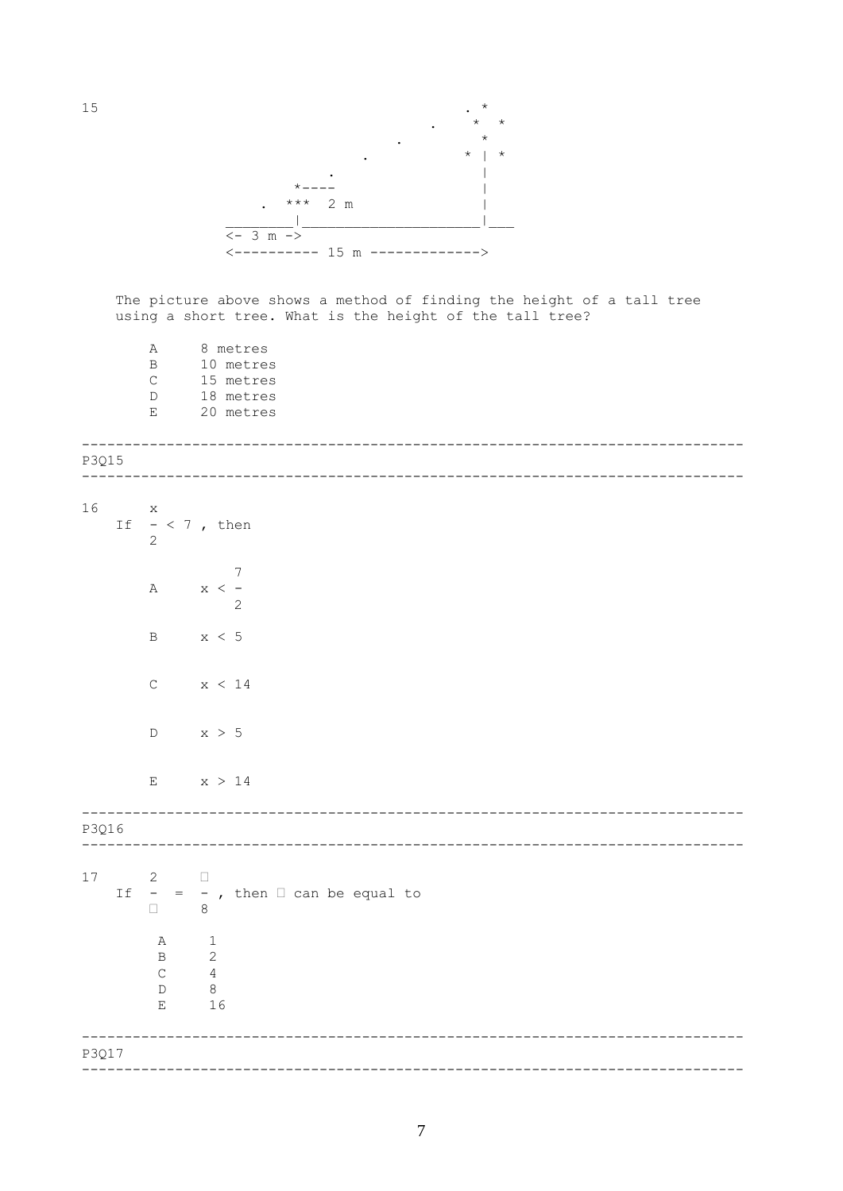

The picture above shows a method of finding the height of a tall tree using a short tree. What is the height of the tall tree?

8 metres  $\, {\bf A}$ 10 metres  $\, {\bf B}$ 15 metres  $\mathsf C$ 18 metres  $\mathbb D$ 20 metres  $\mathbf{E}% _{0}$ 

| P3Q15 |              |                                                                |                                                                                             |
|-------|--------------|----------------------------------------------------------------|---------------------------------------------------------------------------------------------|
|       |              |                                                                |                                                                                             |
| 16    | $\mathbf{x}$ | $\overline{2}$                                                 | If $- < 7$ , then                                                                           |
|       |              | $\mathbb A$                                                    | $\overline{7}$<br>$x < -$<br>$\mathbf{2}$                                                   |
|       |              | $\, {\bf B}$                                                   | x < 5                                                                                       |
|       |              | $\mathsf C$                                                    | x < 14                                                                                      |
|       |              | $\mathbb D$                                                    | x > 5                                                                                       |
|       |              | $\mathbf E$                                                    | x > 14                                                                                      |
| P3Q16 |              |                                                                |                                                                                             |
| 17    |              | $2 \Box$<br>$\Box$                                             | If $-$ = $-$ , then $\Box$ can be equal to<br>$\,8\,$                                       |
|       |              | Α<br>$\, {\bf B}$<br>$\mathsf C$<br>$\mathbb D$<br>$\mathbf E$ | $\overline{\phantom{a}}$<br>$\mathbf{2}$<br>$\overline{4}$<br>$\overline{\mathbf{8}}$<br>16 |
| P3Q17 |              |                                                                |                                                                                             |
|       |              |                                                                |                                                                                             |